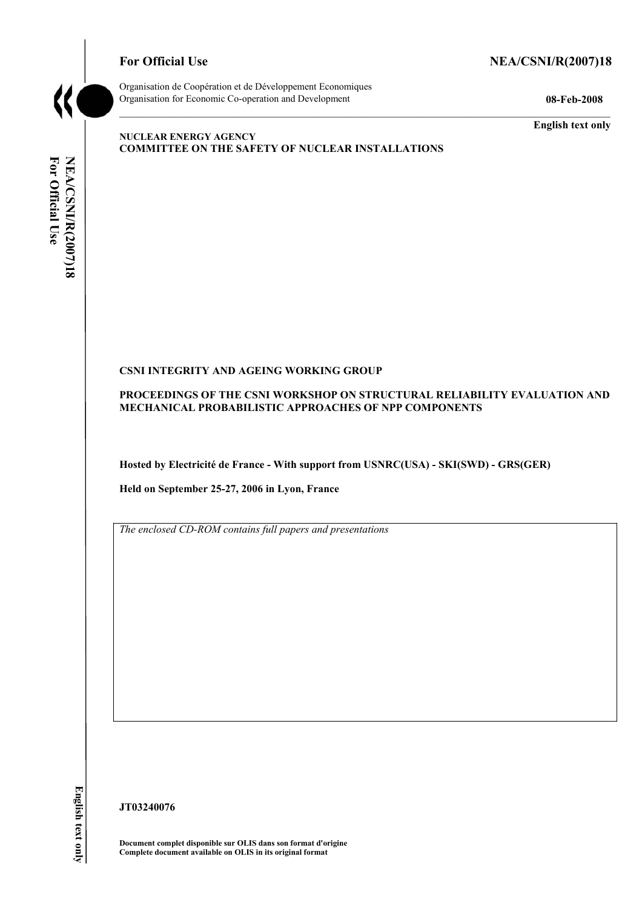# For Official Use NEA/CSNI/R(2007)18



Organisation de CoopÈration et de DÈveloppement Economiques Organisation for Economic Co-operation and Development **08-Feb-2008** 

**English text only** 

# **NUCLEAR ENERGY AGENCY COMMITTEE ON THE SAFETY OF NUCLEAR INSTALLATIONS**

# For Official Use **NEA/CSNI/R(2007)18 For Official Use NEA/CSNI/R(2007)18 English text only**

# **CSNI INTEGRITY AND AGEING WORKING GROUP**

**PROCEEDINGS OF THE CSNI WORKSHOP ON STRUCTURAL RELIABILITY EVALUATION AND MECHANICAL PROBABILISTIC APPROACHES OF NPP COMPONENTS** 

Hosted by Electricité de France - With support from USNRC(USA) - SKI(SWD) - GRS(GER)

**Held on September 25-27, 2006 in Lyon, France** 

*The enclosed CD-ROM contains full papers and presentations* 

**JT03240076** 

**Document complet disponible sur OLIS dans son format d'origine Complete document available on OLIS in its original format**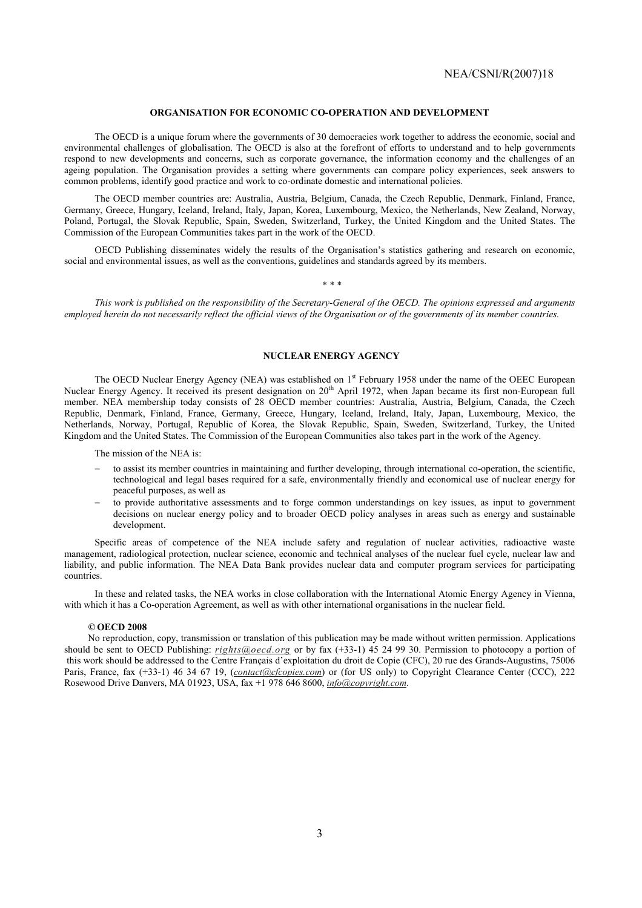### **ORGANISATION FOR ECONOMIC CO-OPERATION AND DEVELOPMENT**

 The OECD is a unique forum where the governments of 30 democracies work together to address the economic, social and environmental challenges of globalisation. The OECD is also at the forefront of efforts to understand and to help governments respond to new developments and concerns, such as corporate governance, the information economy and the challenges of an ageing population. The Organisation provides a setting where governments can compare policy experiences, seek answers to common problems, identify good practice and work to co-ordinate domestic and international policies.

 The OECD member countries are: Australia, Austria, Belgium, Canada, the Czech Republic, Denmark, Finland, France, Germany, Greece, Hungary, Iceland, Ireland, Italy, Japan, Korea, Luxembourg, Mexico, the Netherlands, New Zealand, Norway, Poland, Portugal, the Slovak Republic, Spain, Sweden, Switzerland, Turkey, the United Kingdom and the United States. The Commission of the European Communities takes part in the work of the OECD.

OECD Publishing disseminates widely the results of the Organisation's statistics gathering and research on economic, social and environmental issues, as well as the conventions, guidelines and standards agreed by its members.

 *This work is published on the responsibility of the Secretary-General of the OECD. The opinions expressed and arguments employed herein do not necessarily reflect the official views of the Organisation or of the governments of its member countries.* 

### **NUCLEAR ENERGY AGENCY**

*\* \* \** 

The OECD Nuclear Energy Agency (NEA) was established on 1<sup>st</sup> February 1958 under the name of the OEEC European Nuclear Energy Agency. It received its present designation on 20<sup>th</sup> April 1972, when Japan became its first non-European full member. NEA membership today consists of 28 OECD member countries: Australia, Austria, Belgium, Canada, the Czech Republic, Denmark, Finland, France, Germany, Greece, Hungary, Iceland, Ireland, Italy, Japan, Luxembourg, Mexico, the Netherlands, Norway, Portugal, Republic of Korea, the Slovak Republic, Spain, Sweden, Switzerland, Turkey, the United Kingdom and the United States. The Commission of the European Communities also takes part in the work of the Agency.

The mission of the NEA is:

- − to assist its member countries in maintaining and further developing, through international co-operation, the scientific, technological and legal bases required for a safe, environmentally friendly and economical use of nuclear energy for peaceful purposes, as well as
- to provide authoritative assessments and to forge common understandings on key issues, as input to government decisions on nuclear energy policy and to broader OECD policy analyses in areas such as energy and sustainable development.

 Specific areas of competence of the NEA include safety and regulation of nuclear activities, radioactive waste management, radiological protection, nuclear science, economic and technical analyses of the nuclear fuel cycle, nuclear law and liability, and public information. The NEA Data Bank provides nuclear data and computer program services for participating countries.

 In these and related tasks, the NEA works in close collaboration with the International Atomic Energy Agency in Vienna, with which it has a Co-operation Agreement, as well as with other international organisations in the nuclear field.

### *©* **OECD 2008**

No reproduction, copy, transmission or translation of this publication may be made without written permission. Applications should be sent to OECD Publishing: *rights@oecd.org* or by fax (+33-1) 45 24 99 30. Permission to photocopy a portion of this work should be addressed to the Centre Français d'exploitation du droit de Copie (CFC), 20 rue des Grands-Augustins, 75006 Paris, France, fax (+33-1) 46 34 67 19, (*contact@cfcopies.com*) or (for US only) to Copyright Clearance Center (CCC), 222 Rosewood Drive Danvers, MA 01923, USA, fax +1 978 646 8600, *info@copyright.com.*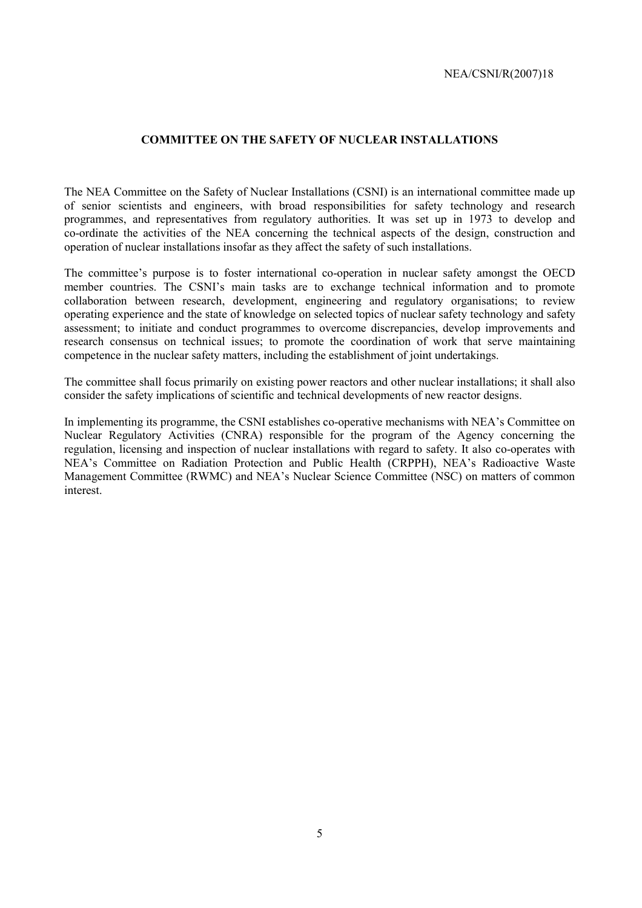# **COMMITTEE ON THE SAFETY OF NUCLEAR INSTALLATIONS**

The NEA Committee on the Safety of Nuclear Installations (CSNI) is an international committee made up of senior scientists and engineers, with broad responsibilities for safety technology and research programmes, and representatives from regulatory authorities. It was set up in 1973 to develop and co-ordinate the activities of the NEA concerning the technical aspects of the design, construction and operation of nuclear installations insofar as they affect the safety of such installations.

The committee's purpose is to foster international co-operation in nuclear safety amongst the OECD member countries. The CSNI's main tasks are to exchange technical information and to promote collaboration between research, development, engineering and regulatory organisations; to review operating experience and the state of knowledge on selected topics of nuclear safety technology and safety assessment; to initiate and conduct programmes to overcome discrepancies, develop improvements and research consensus on technical issues; to promote the coordination of work that serve maintaining competence in the nuclear safety matters, including the establishment of joint undertakings.

The committee shall focus primarily on existing power reactors and other nuclear installations; it shall also consider the safety implications of scientific and technical developments of new reactor designs.

In implementing its programme, the CSNI establishes co-operative mechanisms with NEA's Committee on Nuclear Regulatory Activities (CNRA) responsible for the program of the Agency concerning the regulation, licensing and inspection of nuclear installations with regard to safety. It also co-operates with NEA's Committee on Radiation Protection and Public Health (CRPPH), NEA's Radioactive Waste Management Committee (RWMC) and NEA's Nuclear Science Committee (NSC) on matters of common interest.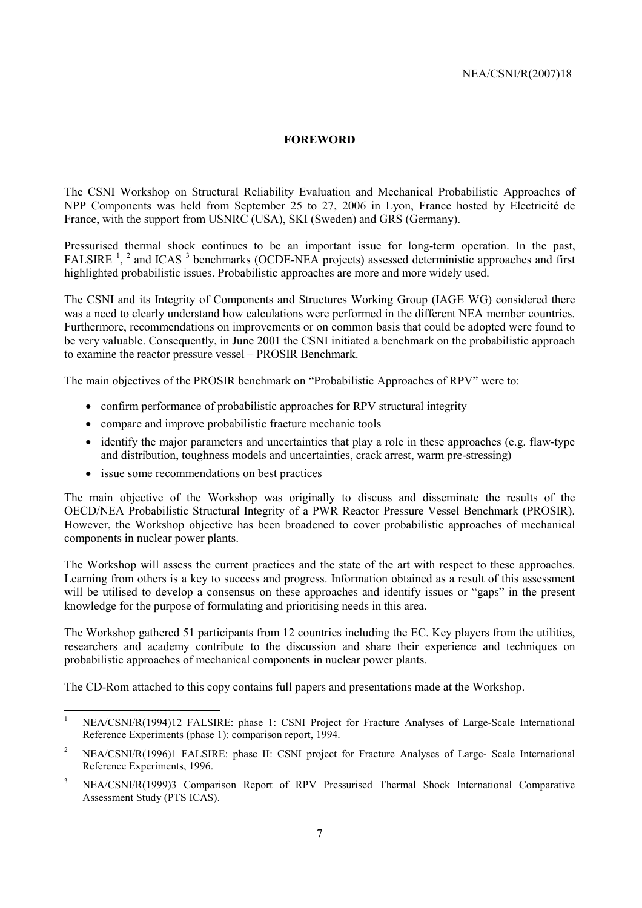# **FOREWORD**

The CSNI Workshop on Structural Reliability Evaluation and Mechanical Probabilistic Approaches of NPP Components was held from September 25 to 27, 2006 in Lyon, France hosted by Electricité de France, with the support from USNRC (USA), SKI (Sweden) and GRS (Germany).

Pressurised thermal shock continues to be an important issue for long-term operation. In the past, FALSIRE<sup>1</sup>,<sup>2</sup> and ICAS<sup>3</sup> benchmarks (OCDE-NEA projects) assessed deterministic approaches and first highlighted probabilistic issues. Probabilistic approaches are more and more widely used.

The CSNI and its Integrity of Components and Structures Working Group (IAGE WG) considered there was a need to clearly understand how calculations were performed in the different NEA member countries. Furthermore, recommendations on improvements or on common basis that could be adopted were found to be very valuable. Consequently, in June 2001 the CSNI initiated a benchmark on the probabilistic approach to examine the reactor pressure vessel – PROSIR Benchmark.

The main objectives of the PROSIR benchmark on "Probabilistic Approaches of RPV" were to:

- confirm performance of probabilistic approaches for RPV structural integrity
- compare and improve probabilistic fracture mechanic tools
- identify the major parameters and uncertainties that play a role in these approaches (e.g. flaw-type and distribution, toughness models and uncertainties, crack arrest, warm pre-stressing)
- issue some recommendations on best practices

The main objective of the Workshop was originally to discuss and disseminate the results of the OECD/NEA Probabilistic Structural Integrity of a PWR Reactor Pressure Vessel Benchmark (PROSIR). However, the Workshop objective has been broadened to cover probabilistic approaches of mechanical components in nuclear power plants.

The Workshop will assess the current practices and the state of the art with respect to these approaches. Learning from others is a key to success and progress. Information obtained as a result of this assessment will be utilised to develop a consensus on these approaches and identify issues or "gaps" in the present knowledge for the purpose of formulating and prioritising needs in this area.

The Workshop gathered 51 participants from 12 countries including the EC. Key players from the utilities, researchers and academy contribute to the discussion and share their experience and techniques on probabilistic approaches of mechanical components in nuclear power plants.

The CD-Rom attached to this copy contains full papers and presentations made at the Workshop.

 $\frac{1}{1}$  NEA/CSNI/R(1994)12 FALSIRE: phase 1: CSNI Project for Fracture Analyses of Large-Scale International Reference Experiments (phase 1): comparison report, 1994.

<sup>2</sup> NEA/CSNI/R(1996)1 FALSIRE: phase II: CSNI project for Fracture Analyses of Large- Scale International Reference Experiments, 1996.

<sup>3</sup> NEA/CSNI/R(1999)3 Comparison Report of RPV Pressurised Thermal Shock International Comparative Assessment Study (PTS ICAS).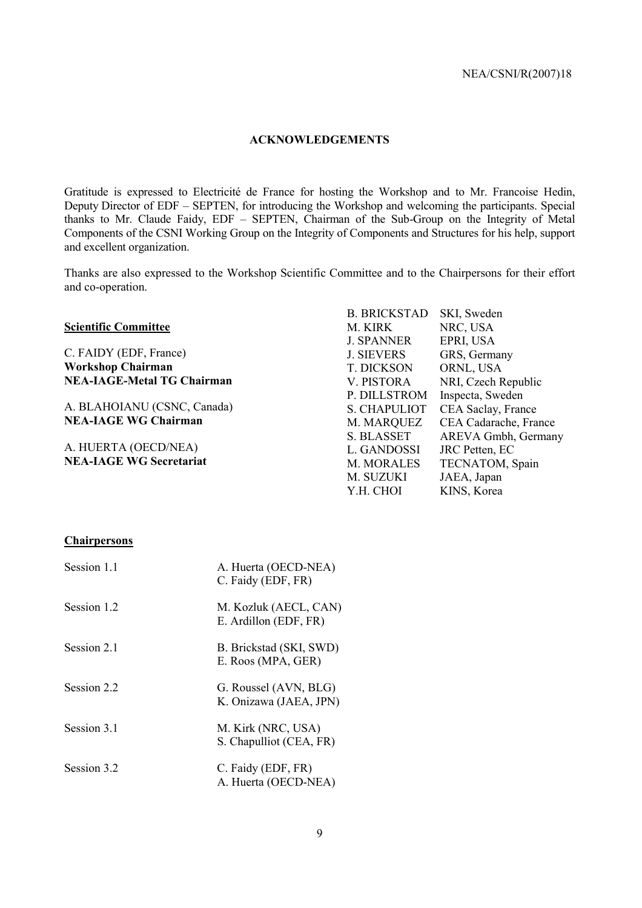# **ACKNOWLEDGEMENTS**

Gratitude is expressed to Electricité de France for hosting the Workshop and to Mr. Francoise Hedin, Deputy Director of EDF – SEPTEN, for introducing the Workshop and welcoming the participants. Special thanks to Mr. Claude Faidy,  $EDF - SEPTEN$ , Chairman of the Sub-Group on the Integrity of Metal Components of the CSNI Working Group on the Integrity of Components and Structures for his help, support and excellent organization.

Thanks are also expressed to the Workshop Scientific Committee and to the Chairpersons for their effort and co-operation.

### **Scientific Committee**

C. FAIDY (EDF, France) **Workshop Chairman NEA-IAGE-Metal TG Chairman** 

A. BLAHOIANU (CSNC, Canada) **NEA-IAGE WG Chairman** 

A. HUERTA (OECD/NEA) **NEA-IAGE WG Secretariat** 

| <b>B. BRICKSTAD</b> | SKI, Sweden           |
|---------------------|-----------------------|
| M. KIRK             | NRC, USA              |
| <b>J. SPANNER</b>   | EPRI, USA             |
| <b>J. SIEVERS</b>   | GRS, Germany          |
| T. DICKSON          | ORNL, USA             |
| V. PISTORA          | NRI, Czech Republic   |
| P. DILLSTROM        | Inspecta, Sweden      |
| S. CHAPULIOT        | CEA Saclay, France    |
| M. MARQUEZ          | CEA Cadarache, France |
| S. BLASSET          | AREVA Gmbh, Germany   |
| L. GANDOSSI         | JRC Petten, EC        |
| <b>M. MORALES</b>   | TECNATOM, Spain       |
| M. SUZUKI           | JAEA, Japan           |
| Y.H. CHOI           | KINS, Korea           |

### **Chairpersons**

| Session 1.1 | A. Huerta (OECD-NEA)<br>C. Faidy (EDF, FR)      |
|-------------|-------------------------------------------------|
| Session 1.2 | M. Kozluk (AECL, CAN)<br>E. Ardillon (EDF, FR)  |
| Session 2.1 | B. Brickstad (SKI, SWD)<br>E. Roos (MPA, GER)   |
| Session 2.2 | G. Roussel (AVN, BLG)<br>K. Onizawa (JAEA, JPN) |
| Session 3.1 | M. Kirk (NRC, USA)<br>S. Chapulliot (CEA, FR)   |
| Session 3.2 | C. Faidy (EDF, FR)<br>A. Huerta (OECD-NEA)      |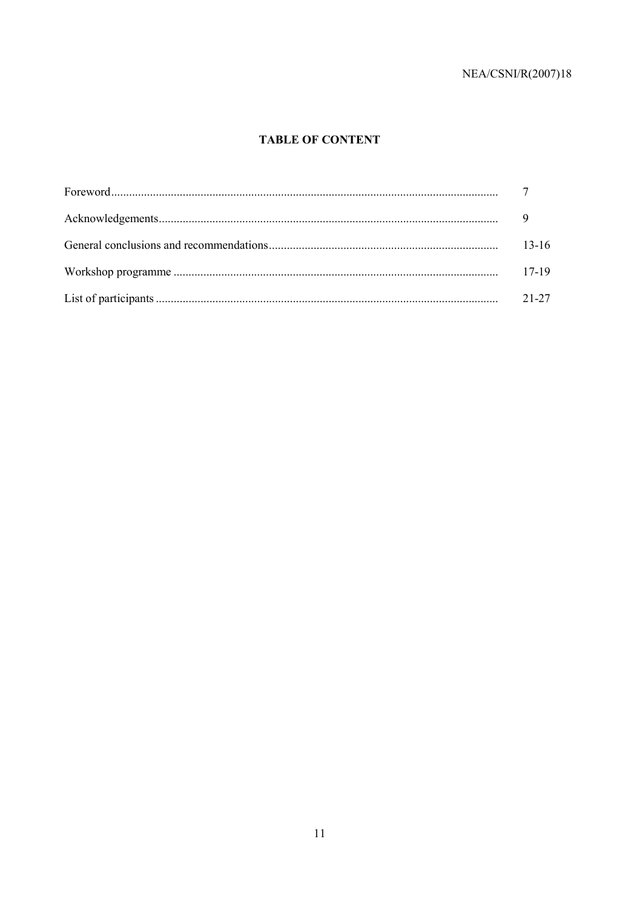# **TABLE OF CONTENT**

| $13 - 16$ |
|-----------|
| $17-19$   |
| $21 - 27$ |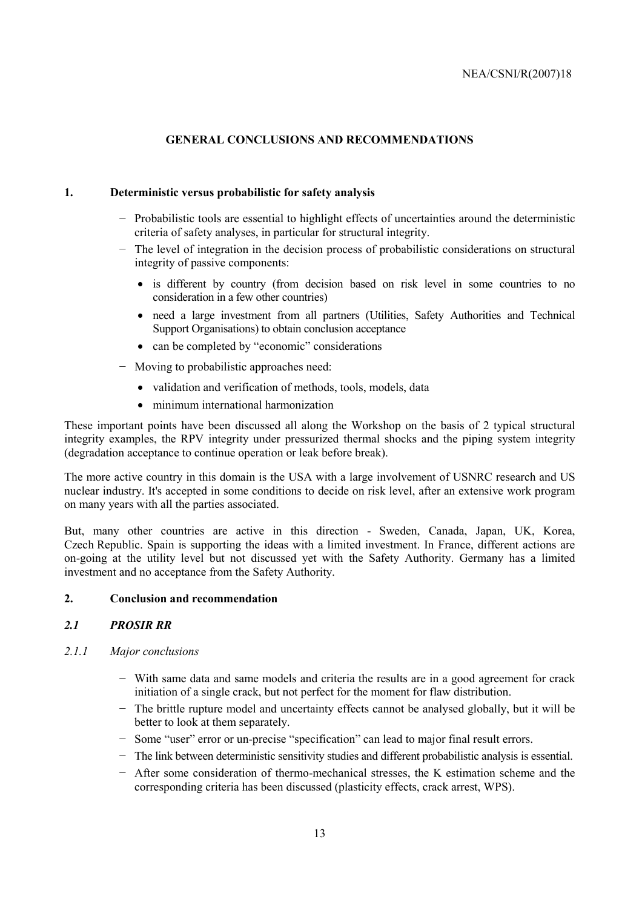# **GENERAL CONCLUSIONS AND RECOMMENDATIONS**

# **1. Deterministic versus probabilistic for safety analysis**

- − Probabilistic tools are essential to highlight effects of uncertainties around the deterministic criteria of safety analyses, in particular for structural integrity.
- − The level of integration in the decision process of probabilistic considerations on structural integrity of passive components:
	- is different by country (from decision based on risk level in some countries to no consideration in a few other countries)
	- need a large investment from all partners (Utilities, Safety Authorities and Technical Support Organisations) to obtain conclusion acceptance
	- $\bullet$  can be completed by "economic" considerations
- − Moving to probabilistic approaches need:
	- validation and verification of methods, tools, models, data
	- minimum international harmonization

These important points have been discussed all along the Workshop on the basis of 2 typical structural integrity examples, the RPV integrity under pressurized thermal shocks and the piping system integrity (degradation acceptance to continue operation or leak before break).

The more active country in this domain is the USA with a large involvement of USNRC research and US nuclear industry. It's accepted in some conditions to decide on risk level, after an extensive work program on many years with all the parties associated.

But, many other countries are active in this direction - Sweden, Canada, Japan, UK, Korea, Czech Republic. Spain is supporting the ideas with a limited investment. In France, different actions are on-going at the utility level but not discussed yet with the Safety Authority. Germany has a limited investment and no acceptance from the Safety Authority.

# **2. Conclusion and recommendation**

# *2.1 PROSIR RR*

- *2.1.1 Major conclusions* 
	- − With same data and same models and criteria the results are in a good agreement for crack initiation of a single crack, but not perfect for the moment for flaw distribution.
	- − The brittle rupture model and uncertainty effects cannot be analysed globally, but it will be better to look at them separately.
	- − Some "user" error or un-precise "specification" can lead to major final result errors.
	- − The link between deterministic sensitivity studies and different probabilistic analysis is essential.
	- − After some consideration of thermo-mechanical stresses, the K estimation scheme and the corresponding criteria has been discussed (plasticity effects, crack arrest, WPS).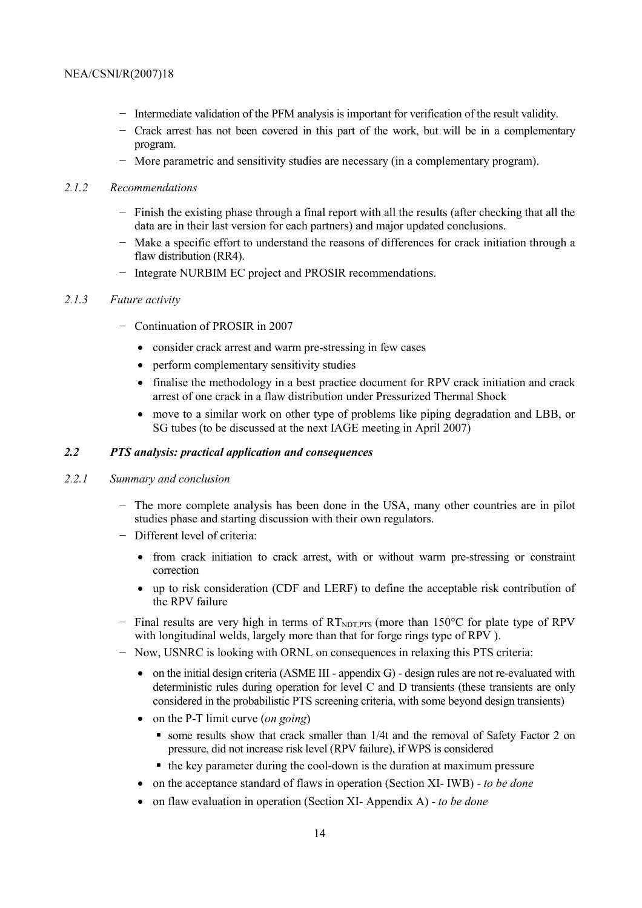- − Intermediate validation of the PFM analysis is important for verification of the result validity.
- − Crack arrest has not been covered in this part of the work, but will be in a complementary program.
- − More parametric and sensitivity studies are necessary (in a complementary program).

### *2.1.2 Recommendations*

- − Finish the existing phase through a final report with all the results (after checking that all the data are in their last version for each partners) and major updated conclusions.
- Make a specific effort to understand the reasons of differences for crack initiation through a flaw distribution (RR4).
- Integrate NURBIM EC project and PROSIR recommendations.

### *2.1.3 Future activity*

- − Continuation of PROSIR in 2007
	- consider crack arrest and warm pre-stressing in few cases
	- perform complementary sensitivity studies
	- finalise the methodology in a best practice document for RPV crack initiation and crack arrest of one crack in a flaw distribution under Pressurized Thermal Shock
	- move to a similar work on other type of problems like piping degradation and LBB, or SG tubes (to be discussed at the next IAGE meeting in April 2007)

# *2.2 PTS analysis: practical application and consequences*

### *2.2.1 Summary and conclusion*

- − The more complete analysis has been done in the USA, many other countries are in pilot studies phase and starting discussion with their own regulators.
- − Different level of criteria:
	- from crack initiation to crack arrest, with or without warm pre-stressing or constraint correction
	- up to risk consideration (CDF and LERF) to define the acceptable risk contribution of the RPV failure
- − Final results are very high in terms of RT<sub>NDT,PTS</sub> (more than 150°C for plate type of RPV with longitudinal welds, largely more than that for forge rings type of RPV).
- − Now, USNRC is looking with ORNL on consequences in relaxing this PTS criteria:
	- on the initial design criteria (ASME III appendix G) design rules are not re-evaluated with deterministic rules during operation for level C and D transients (these transients are only considered in the probabilistic PTS screening criteria, with some beyond design transients)
	- on the P-T limit curve (*on going*)
		- ! some results show that crack smaller than 1/4t and the removal of Safety Factor 2 on pressure, did not increase risk level (RPV failure), if WPS is considered
		- ! the key parameter during the cool-down is the duration at maximum pressure
	- on the acceptance standard of flaws in operation (Section XI- IWB) *to be done*
	- on flaw evaluation in operation (Section XI- Appendix A) *to be done*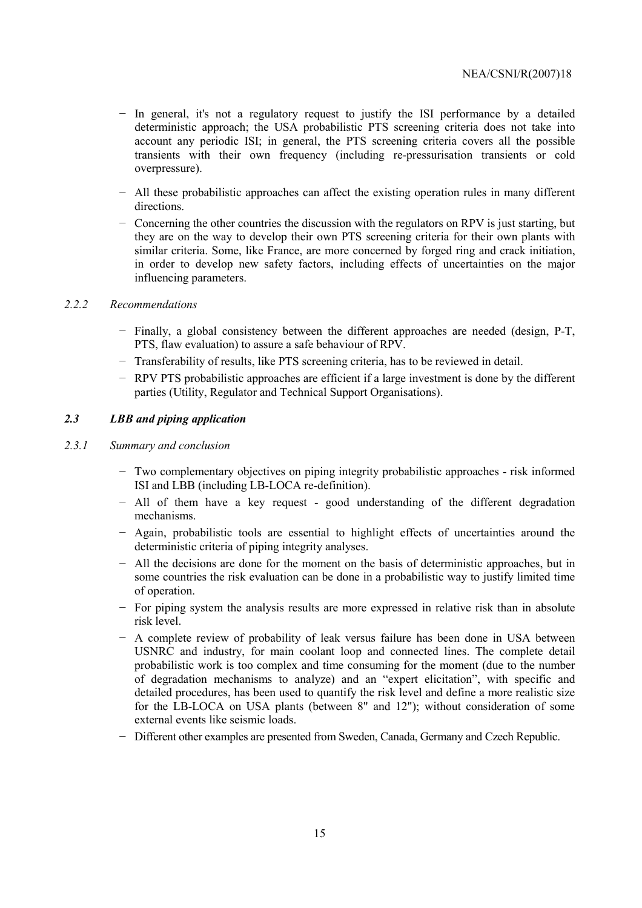- − In general, it's not a regulatory request to justify the ISI performance by a detailed deterministic approach; the USA probabilistic PTS screening criteria does not take into account any periodic ISI; in general, the PTS screening criteria covers all the possible transients with their own frequency (including re-pressurisation transients or cold overpressure).
- − All these probabilistic approaches can affect the existing operation rules in many different directions.
- − Concerning the other countries the discussion with the regulators on RPV is just starting, but they are on the way to develop their own PTS screening criteria for their own plants with similar criteria. Some, like France, are more concerned by forged ring and crack initiation, in order to develop new safety factors, including effects of uncertainties on the major influencing parameters.

# *2.2.2 Recommendations*

- − Finally, a global consistency between the different approaches are needed (design, P-T, PTS, flaw evaluation) to assure a safe behaviour of RPV.
- − Transferability of results, like PTS screening criteria, has to be reviewed in detail.
- − RPV PTS probabilistic approaches are efficient if a large investment is done by the different parties (Utility, Regulator and Technical Support Organisations).

# *2.3 LBB and piping application*

- *2.3.1 Summary and conclusion* 
	- − Two complementary objectives on piping integrity probabilistic approaches risk informed ISI and LBB (including LB-LOCA re-definition).
	- − All of them have a key request good understanding of the different degradation mechanisms.
	- − Again, probabilistic tools are essential to highlight effects of uncertainties around the deterministic criteria of piping integrity analyses.
	- − All the decisions are done for the moment on the basis of deterministic approaches, but in some countries the risk evaluation can be done in a probabilistic way to justify limited time of operation.
	- − For piping system the analysis results are more expressed in relative risk than in absolute risk level.
	- − A complete review of probability of leak versus failure has been done in USA between USNRC and industry, for main coolant loop and connected lines. The complete detail probabilistic work is too complex and time consuming for the moment (due to the number of degradation mechanisms to analyze) and an "expert elicitation", with specific and detailed procedures, has been used to quantify the risk level and define a more realistic size for the LB-LOCA on USA plants (between 8" and 12"); without consideration of some external events like seismic loads.
	- − Different other examples are presented from Sweden, Canada, Germany and Czech Republic.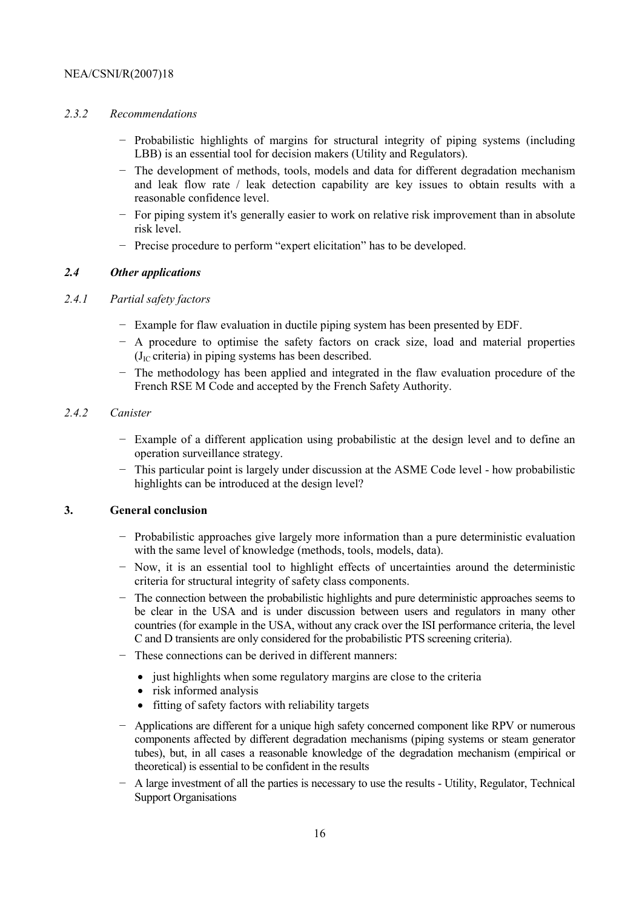# *2.3.2 Recommendations*

- − Probabilistic highlights of margins for structural integrity of piping systems (including LBB) is an essential tool for decision makers (Utility and Regulators).
- − The development of methods, tools, models and data for different degradation mechanism and leak flow rate / leak detection capability are key issues to obtain results with a reasonable confidence level.
- − For piping system it's generally easier to work on relative risk improvement than in absolute risk level.
- − Precise procedure to perform "expert elicitation" has to be developed.

# *2.4 Other applications*

# *2.4.1 Partial safety factors*

- − Example for flaw evaluation in ductile piping system has been presented by EDF.
- − A procedure to optimise the safety factors on crack size, load and material properties  $(J<sub>IC</sub> criteria)$  in piping systems has been described.
- − The methodology has been applied and integrated in the flaw evaluation procedure of the French RSE M Code and accepted by the French Safety Authority.

# *2.4.2 Canister*

- − Example of a different application using probabilistic at the design level and to define an operation surveillance strategy.
- − This particular point is largely under discussion at the ASME Code level how probabilistic highlights can be introduced at the design level?

# **3. General conclusion**

- − Probabilistic approaches give largely more information than a pure deterministic evaluation with the same level of knowledge (methods, tools, models, data).
- − Now, it is an essential tool to highlight effects of uncertainties around the deterministic criteria for structural integrity of safety class components.
- − The connection between the probabilistic highlights and pure deterministic approaches seems to be clear in the USA and is under discussion between users and regulators in many other countries (for example in the USA, without any crack over the ISI performance criteria, the level C and D transients are only considered for the probabilistic PTS screening criteria).
- − These connections can be derived in different manners:
	- just highlights when some regulatory margins are close to the criteria
	- risk informed analysis
	- fitting of safety factors with reliability targets
- − Applications are different for a unique high safety concerned component like RPV or numerous components affected by different degradation mechanisms (piping systems or steam generator tubes), but, in all cases a reasonable knowledge of the degradation mechanism (empirical or theoretical) is essential to be confident in the results
- − A large investment of all the parties is necessary to use the results Utility, Regulator, Technical Support Organisations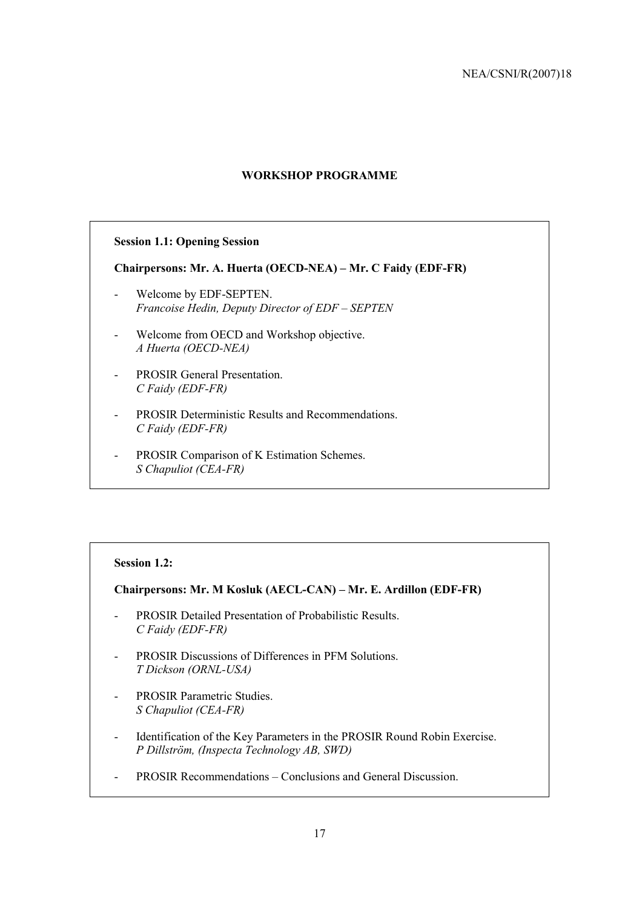# **WORKSHOP PROGRAMME**

### **Session 1.1: Opening Session**

**Chairpersons: Mr. A. Huerta (OECD-NEA) – Mr. C Faidy (EDF-FR)** 

- Welcome by EDF-SEPTEN. *Francoise Hedin, Deputy Director of EDF - SEPTEN*
- Welcome from OECD and Workshop objective. *A Huerta (OECD-NEA)*
- PROSIR General Presentation *C Faidy (EDF-FR)*
- PROSIR Deterministic Results and Recommendations. *C Faidy (EDF-FR)*
- PROSIR Comparison of K Estimation Schemes. *S Chapuliot (CEA-FR)*

# **Session 1.2:**

**Chairpersons: Mr. M Kosluk (AECL-CAN) – Mr. E. Ardillon (EDF-FR)** 

- PROSIR Detailed Presentation of Probabilistic Results. *C Faidy (EDF-FR)*
- PROSIR Discussions of Differences in PFM Solutions. *T Dickson (ORNL-USA)*
- PROSIR Parametric Studies. *S Chapuliot (CEA-FR)*
- Identification of the Key Parameters in the PROSIR Round Robin Exercise. *P Dillstrˆm, (Inspecta Technology AB, SWD)*
- PROSIR Recommendations Conclusions and General Discussion.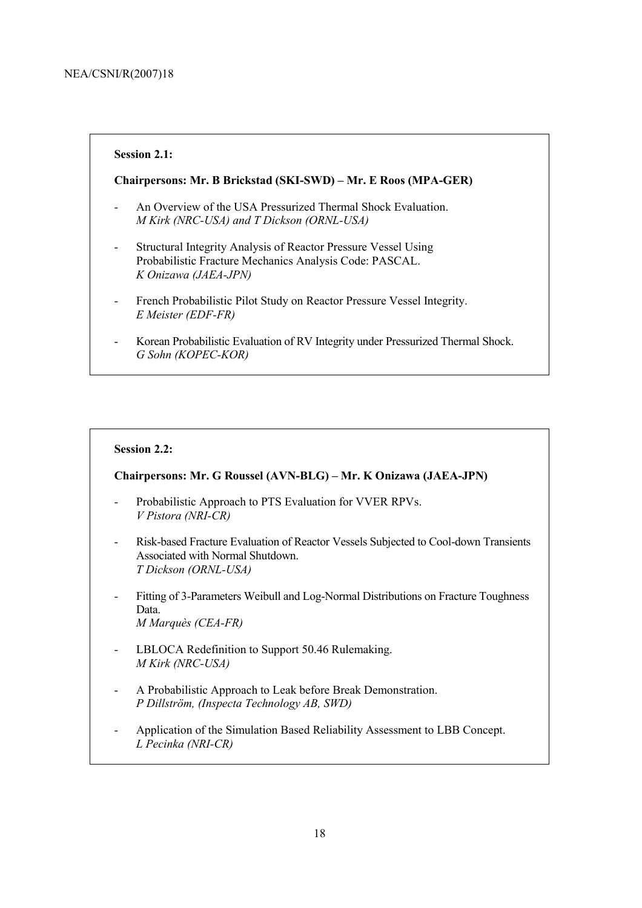# **Session 2.1:**

### **Chairpersons: Mr. B Brickstad (SKI-SWD) – Mr. E Roos (MPA-GER)**

- An Overview of the USA Pressurized Thermal Shock Evaluation. *M Kirk (NRC-USA) and T Dickson (ORNL-USA)*
- Structural Integrity Analysis of Reactor Pressure Vessel Using Probabilistic Fracture Mechanics Analysis Code: PASCAL.  *K Onizawa (JAEA-JPN)*
- French Probabilistic Pilot Study on Reactor Pressure Vessel Integrity.  *E Meister (EDF-FR)*
- Korean Probabilistic Evaluation of RV Integrity under Pressurized Thermal Shock.  *G Sohn (KOPEC-KOR)*

### **Session 2.2:**

### **Chairpersons: Mr. G Roussel (AVN-BLG) – Mr. K Onizawa (JAEA-JPN)**

- Probabilistic Approach to PTS Evaluation for VVER RPVs.  *V Pistora (NRI-CR)*
- Risk-based Fracture Evaluation of Reactor Vessels Subjected to Cool-down Transients Associated with Normal Shutdown. *T Dickson (ORNL-USA)*
- Fitting of 3-Parameters Weibull and Log-Normal Distributions on Fracture Toughness Data. *M MarquËs (CEA-FR)*
- LBLOCA Redefinition to Support 50.46 Rulemaking. *M Kirk (NRC-USA)*
- A Probabilistic Approach to Leak before Break Demonstration. *P Dillstrˆm, (Inspecta Technology AB, SWD)*
- Application of the Simulation Based Reliability Assessment to LBB Concept. *L Pecinka (NRI-CR)*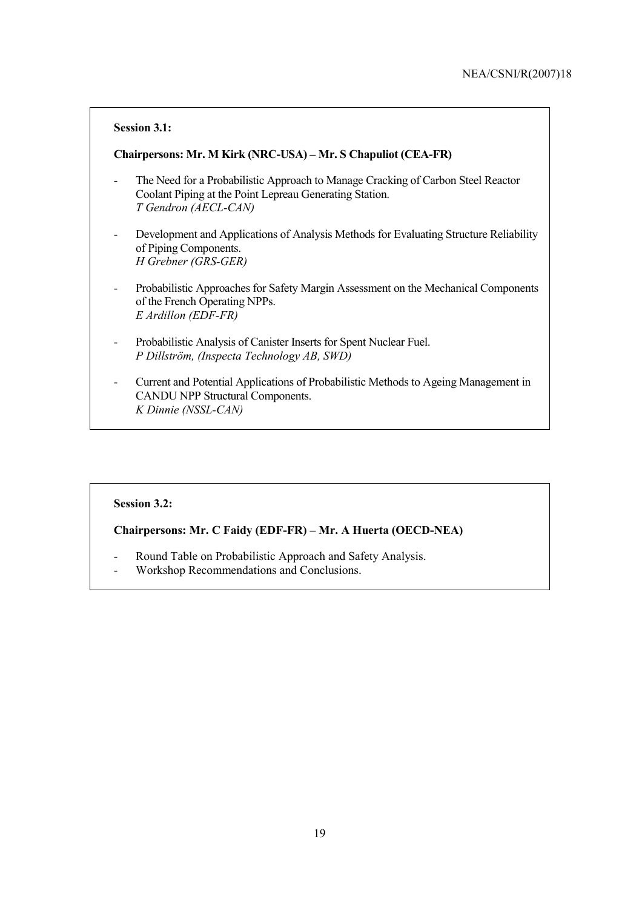# **Session 3.1:**

# **Chairpersons: Mr. M Kirk (NRC-USA) – Mr. S Chapuliot (CEA-FR)**

- The Need for a Probabilistic Approach to Manage Cracking of Carbon Steel Reactor Coolant Piping at the Point Lepreau Generating Station. *T Gendron (AECL-CAN)*
- Development and Applications of Analysis Methods for Evaluating Structure Reliability of Piping Components. *H Grebner (GRS-GER)*
- Probabilistic Approaches for Safety Margin Assessment on the Mechanical Components of the French Operating NPPs. *E Ardillon (EDF-FR)*
- Probabilistic Analysis of Canister Inserts for Spent Nuclear Fuel. *P Dillstrˆm, (Inspecta Technology AB, SWD)*
- Current and Potential Applications of Probabilistic Methods to Ageing Management in CANDU NPP Structural Components. *K Dinnie (NSSL-CAN)*

### **Session 3.2:**

# **Chairpersons: Mr. C Faidy (EDF-FR) – Mr. A Huerta (OECD-NEA)**

- Round Table on Probabilistic Approach and Safety Analysis.
- Workshop Recommendations and Conclusions.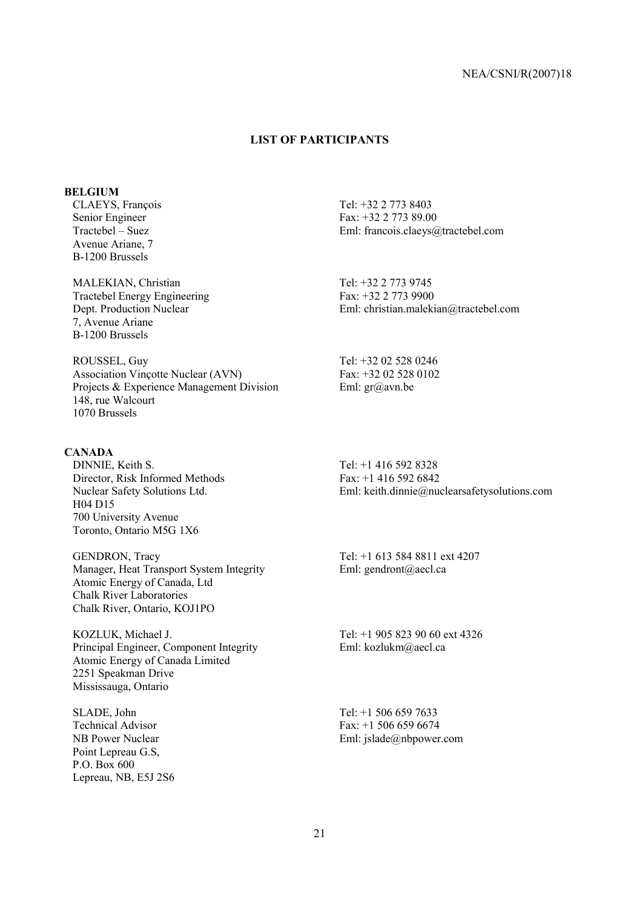# **LIST OF PARTICIPANTS**

### **BELGIUM**

 Avenue Ariane, 7 B-1200 Brussels

MALEKIAN, Christian Tel: +32 2 773 9745 Tractebel Energy Engineering Fax: +32 2 773 9900 7, Avenue Ariane B-1200 Brussels

 ROUSSEL, Guy Tel: +32 02 528 0246 Association Vincotte Nuclear (AVN) Fax: +32 02 528 0102 Projects & Experience Management Division Eml: gr@avn.be 148, rue Walcourt 1070 Brussels

### **CANADA**

 DINNIE, Keith S. Tel: +1 416 592 8328 Director, Risk Informed Methods Fax: +1 416 592 6842 H04 D15 700 University Avenue Toronto, Ontario M5G 1X6

GENDRON, Tracy Tel: +1 613 584 8811 ext 4207 Manager, Heat Transport System Integrity Eml: gendront@aecl.ca Atomic Energy of Canada, Ltd Chalk River Laboratories Chalk River, Ontario, KOJ1PO

 KOZLUK, Michael J. Tel: +1 905 823 90 60 ext 4326 Principal Engineer, Component Integrity Eml: kozlukm@aecl.ca Atomic Energy of Canada Limited 2251 Speakman Drive Mississauga, Ontario

SLADE, John Tel: +1 506 659 7633 Point Lepreau G.S, P.O. Box 600 Lepreau, NB, E5J 2S6

CLAEYS, François Tel: +32 2 773 8403 Senior Engineer Fax: +32 2 773 89.00 Tractebel – Suez Eml: francois.claeys@tractebel.com

Dept. Production Nuclear Eml: christian.malekian@tractebel.com

Nuclear Safety Solutions Ltd. Eml: keith.dinnie@nuclearsafetysolutions.com

Technical Advisor Fax: +1 506 659 6674 NB Power Nuclear Eml: jslade@nbpower.com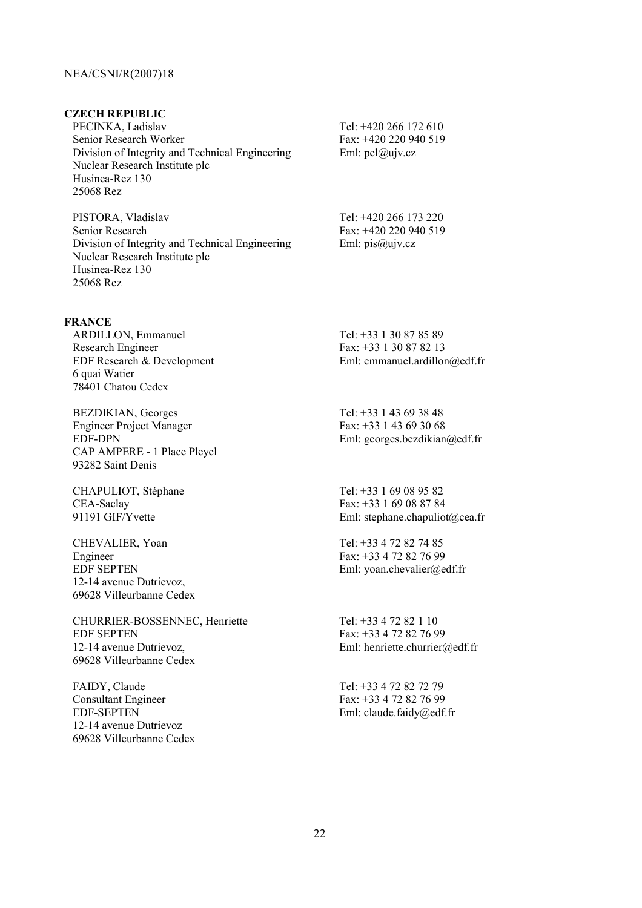# **CZECH REPUBLIC**

Senior Research Worker Fax: +420 220 940 519 Division of Integrity and Technical Engineering Eml:  $pel@uiv.cz$  Nuclear Research Institute plc Husinea-Rez 130 25068 Rez

PISTORA, Vladislav Tel: +420 266 173 220 Senior Research Fax: +420 220 940 519 Division of Integrity and Technical Engineering Eml: pis $\omega$ ujv.cz Nuclear Research Institute plc Husinea-Rez 130 25068 Rez

### **FRANCE**

 ARDILLON, Emmanuel Tel: +33 1 30 87 85 89 Research Engineer Fax: +33 1 30 87 82 13 EDF Research & Development Eml: emmanuel.ardillon@edf.fr 6 quai Watier 78401 Chatou Cedex

BEZDIKIAN, Georges Tel: +33 1 43 69 38 48<br>Engineer Project Manager Fax: +33 1 43 69 30 68 Engineer Project Manager EDF-DPN Eml: georges.bezdikian@edf.fr CAP AMPERE - 1 Place Pleyel 93282 Saint Denis

CHAPULIOT, Stéphane Tel: +33 1 69 08 95 82 CEA-Saclay Fax: +33 1 69 08 87 84<br>91191 GIF/Yvette Eml: stephane.chapuliot

CHEVALIER, Yoan Tel: +33 4 72 82 74 85 Engineer Fax: +33 4 72 82 76 99 12-14 avenue Dutrievoz, 69628 Villeurbanne Cedex

 CHURRIER-BOSSENNEC, Henriette Tel: +33 4 72 82 1 10 EDF SEPTEN Fax: +33 4 72 82 76 99 12-14 avenue Dutrievoz, Eml: henriette.churrier@edf.fr 69628 Villeurbanne Cedex

FAIDY, Claude Tel: +33 4 72 82 72 79 Consultant Engineer Fax: +33 4 72 82 76 99 EDF-SEPTEN Eml: claude.faidy@edf.fr 12-14 avenue Dutrievoz 69628 Villeurbanne Cedex

Tel: +420 266 172 610

Eml: stephane.chapuliot@cea.fr

EDF SEPTEN Eml: yoan.chevalier@edf.fr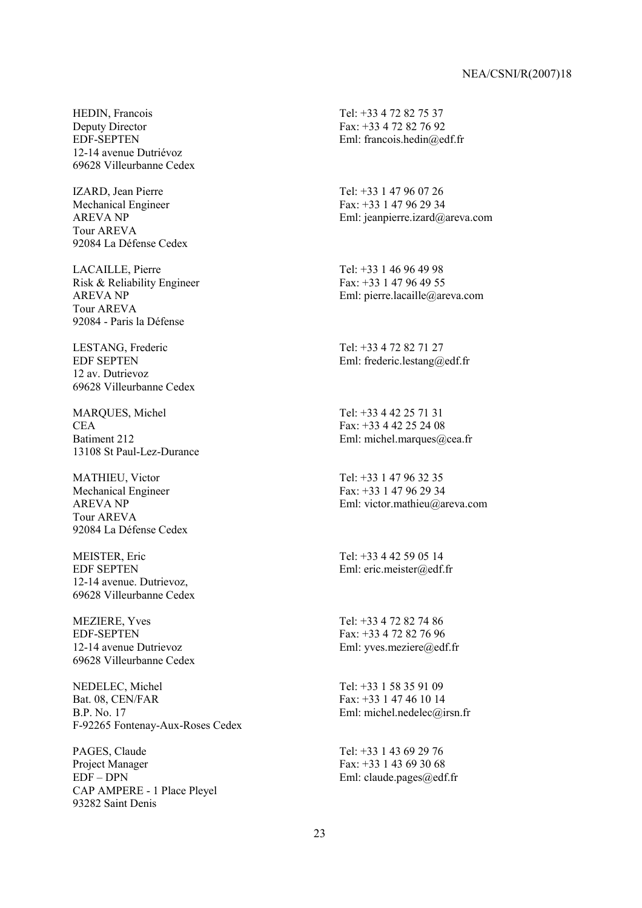HEDIN, Francois Tel: +33 4 72 82 75 37 Deputy Director Fax: +33 4 72 82 76 92 12-14 avenue Dutriévoz 69628 Villeurbanne Cedex

IZARD, Jean Pierre Tel: +33 1 47 96 07 26 Mechanical Engineer Fax: +33 1 47 96 29 34 Tour AREVA 92084 La Défense Cedex

LACAILLE, Pierre  $Tel: +33 \t1 \t46 \t96 \t49 \t98$ Risk & Reliability Engineer<br>AREVA NP<br>Femi-pierre lacaille@ar Tour AREVA 92084 - Paris la Défense

LESTANG, Frederic Tel: +33 4 72 82 71 27 12 av. Dutrievoz 69628 Villeurbanne Cedex

MARQUES, Michel Tel: +33 4 42 25 71 31 CEA Fax: +33 4 42 25 24 08 13108 St Paul-Lez-Durance

MATHIEU, Victor Tel: +33 1 47 96 32 35 Mechanical Engineer Fax: +33 1 47 96 29 34 Tour AREVA 92084 La Défense Cedex

MEISTER, Eric Tel: +33 4 42 59 05 14 EDF SEPTEN Eml: eric.meister@edf.fr 12-14 avenue. Dutrievoz, 69628 Villeurbanne Cedex

 MEZIERE, Yves Tel: +33 4 72 82 74 86 EDF-SEPTEN Fax: +33 4 72 82 76 96 12-14 avenue Dutrievoz Eml: yves.meziere@edf.fr 69628 Villeurbanne Cedex

NEDELEC, Michel Tel: +33 1 58 35 91 09 Bat. 08, CEN/FAR Fax: +33 1 47 46 10 14 B.P. No. 17 Eml: michel.nedelec@irsn.fr F-92265 Fontenay-Aux-Roses Cedex

PAGES, Claude Tel: +33 1 43 69 29 76<br>Project Manager Fax: +33 1 43 69 30 68  $EDF - DPN$  Eml: claude.pages@edf.fr CAP AMPERE - 1 Place Pleyel 93282 Saint Denis

EDF-SEPTEN Eml: francois.hedin@edf.fr

AREVA NP Eml: jeanpierre.izard@areva.com

Eml: pierre.lacaille@areva.com

EDF SEPTEN Eml: frederic.lestang@edf.fr

Batiment 212 Eml: michel.marques@cea.fr

AREVA NP Eml: victor.mathieu@areva.com

Fax: +33 1 43 69 30 68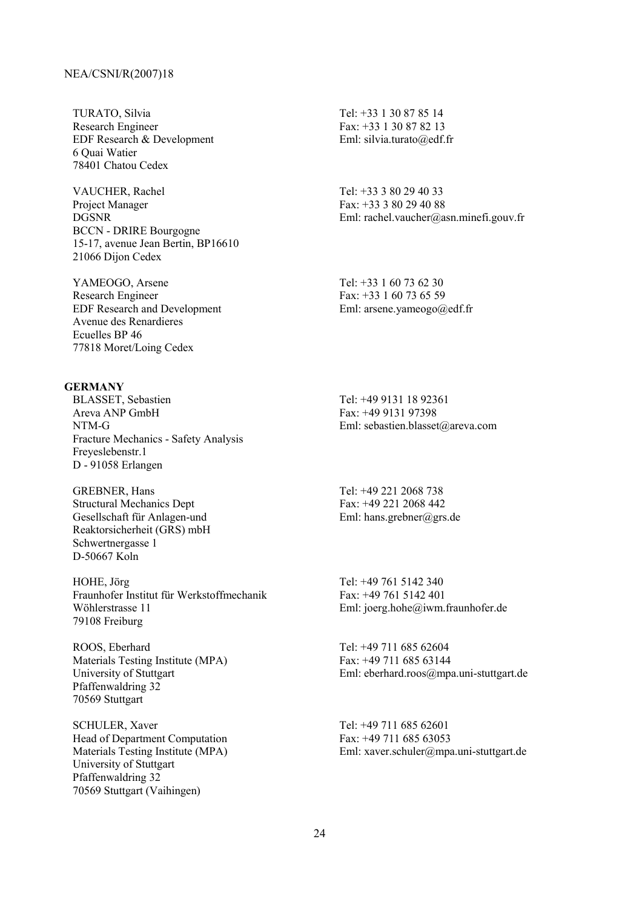TURATO, Silvia Tel: +33 1 30 87 85 14 Research Engineer Fax: +33 1 30 87 82 13 EDF Research & Development Eml: silvia.turato@edf.fr 6 Quai Watier 78401 Chatou Cedex

VAUCHER, Rachel Tel: +33 3 80 29 40 33 Project Manager Fax: +33 3 80 29 40 88 BCCN - DRIRE Bourgogne 15-17, avenue Jean Bertin, BP16610 21066 Dijon Cedex

YAMEOGO, Arsene Tel: +33 1 60 73 62 30<br>Research Engineer Fax: +33 1 60 73 65 59 EDF Research and Development Eml: arsene.yameogo@edf.fr Avenue des Renardieres Ecuelles BP 46 77818 Moret/Loing Cedex

DGSNR Eml: rachel.vaucher@asn.minefi.gouv.fr

Fax: +33 1 60 73 65 59

**GERMANY**<br>BLASSET, Sebastien Areva ANP GmbH Fax: +49 9131 97398 NTM-G Eml: sebastien.blasset@areva.com Fracture Mechanics - Safety Analysis Freyeslebenstr.1 D - 91058 Erlangen

GREBNER, Hans Tel: +49 221 2068 738 Structural Mechanics Dept Fax: +49 221 2068 442 Gesellschaft für Anlagen-und Eml: hans.grebner@grs.de Reaktorsicherheit (GRS) mbH Schwertnergasse 1 D-50667 Koln

HOHE, Jörg Tel: +49 761 5142 340 Fraunhofer Institut für Werkstoffmechanik Fax: +49 761 5142 401 Wöhlerstrasse 11 end in Eml: joerg.hohe@iwm.fraunhofer.de 79108 Freiburg

ROOS, Eberhard Tel: +49 711 685 62604 Materials Testing Institute (MPA) Fax: +49 711 685 63144<br>University of Stuttgart Eml: eberhard.roos@mpa Pfaffenwaldring 32 70569 Stuttgart

SCHULER, Xaver Tel: +49 711 685 62601 Head of Department Computation Fax: +49 711 685 63053 University of Stuttgart Pfaffenwaldring 32 70569 Stuttgart (Vaihingen)

Tel: +49 9131 18 92361

Eml: eberhard.roos@mpa.uni-stuttgart.de

Materials Testing Institute (MPA) Eml: xaver.schuler@mpa.uni-stuttgart.de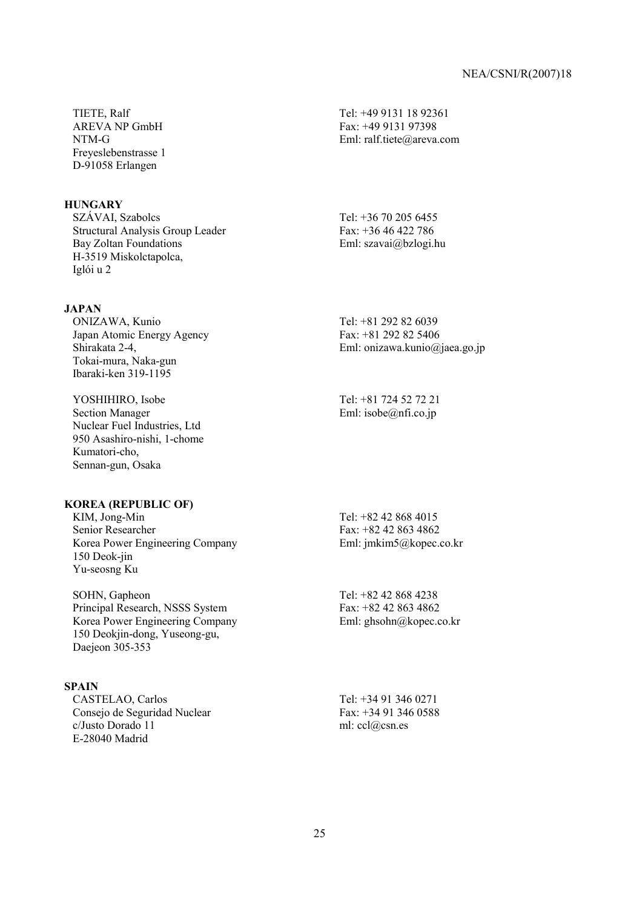Freyeslebenstrasse 1 D-91058 Erlangen

### **HUNGARY**

 $SZÁVAL$ , Szabolcs  $Tel: +36702056455$ Structural Analysis Group Leader Fax: +36 46 422 786<br>Bay Zoltan Foundations Eml: szavai@bzlogi.l H-3519 Miskolctapolca, Iglói u 2

### **JAPAN**

 ONIZAWA, Kunio Tel: +81 292 82 6039 Japan Atomic Energy Agency Fax: +81 292 82 5406 Tokai-mura, Naka-gun Ibaraki-ken 319-1195

YOSHIHIRO, Isobe Tel: +81 724 52 72 21 Section Manager Eml: isobe@nfi.co.jp Nuclear Fuel Industries, Ltd 950 Asashiro-nishi, 1-chome Kumatori-cho, Sennan-gun, Osaka

# TIETE, Ralf<br>AREVA NP GmbH<br>AREVA NP GmbH<br>Tex: +49 9131 97398 Fax:  $+49913197398$ NTM-G Eml: ralf.tiete@areva.com

Eml: szavai@bzlogi.hu

Shirakata 2-4, Eml: onizawa.kunio@jaea.go.jp

**KOREA (REPUBLIC OF)** 

Senior Researcher Fax: +82 42 863 4862 Korea Power Engineering Company Eml: jmkim5@kopec.co.kr 150 Deok-jin Yu-seosng Ku

SOHN, Gapheon Tel: +82 42 868 4238 Principal Research, NSSS System Fax: +82 42 863 4862 Korea Power Engineering Company Eml: ghsohn@kopec.co.kr 150 Deokjin-dong, Yuseong-gu, Daejeon 305-353

### **SPAIN**

 CASTELAO, Carlos Tel: +34 91 346 0271 Consejo de Seguridad Nuclear Fax: +34 91 346 0588 c/Justo Dorado 11 ml: ccl@csn.es E-28040 Madrid

Tel:  $+82$  42 868 4015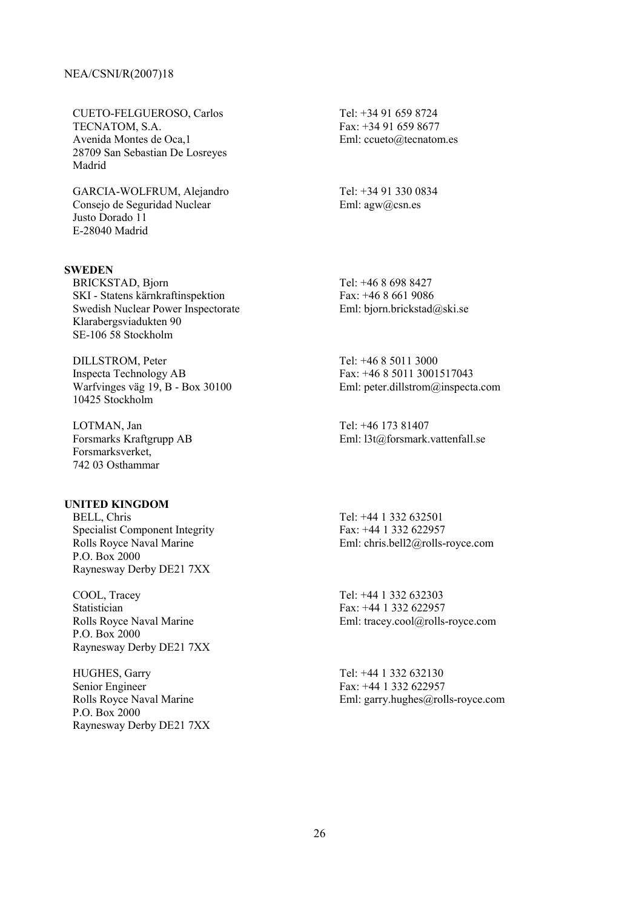CUETO-FELGUEROSO, Carlos Tel: +34 91 659 8724 TECNATOM, S.A. Fax: +34 91 659 8677 Avenida Montes de Oca,1 Eml: ccueto@tecnatom.es 28709 San Sebastian De Losreyes Madrid

GARCIA-WOLFRUM, Alejandro Tel: +34 91 330 0834 Consejo de Seguridad Nuclear Eml: agw@csn.es Justo Dorado 11 E-28040 Madrid

### **SWEDEN**

BRICKSTAD, Bjorn Tel: +46 8 698 8427<br>SKI - Statens kärnkraftinspektion Fax: +46 8 661 9086 SKI - Statens kärnkraftinspektion Swedish Nuclear Power Inspectorate Eml: bjorn.brickstad@ski.se Klarabergsviadukten 90 SE-106 58 Stockholm

DILLSTROM, Peter Tel: +46 8 5011 3000 Inspecta Technology AB Fax: +46 8 5011 3001517043 10425 Stockholm

LOTMAN, Jan Tel: +46 173 81407 Forsmarksverket, 742 03 Osthammar

# **UNITED KINGDOM**

Specialist Component Integrity Fax: +44 1 332 622957 P.O. Box 2000 Raynesway Derby DE21 7XX

 COOL, Tracey Tel: +44 1 332 632303 Statistician Fax: +44 1 332 622957 P.O. Box 2000 Raynesway Derby DE21 7XX

Senior Engineer Fax: +44 1 332 622957 P.O. Box 2000 Raynesway Derby DE21 7XX

Warfvinges väg 19, B - Box 30100 Eml: peter.dillstrom@inspecta.com

Forsmarks Kraftgrupp AB Eml: l3t@forsmark.vattenfall.se

Tel:  $+44$  1 332 632501 Rolls Royce Naval Marine Eml: chris.bell2@rolls-royce.com

Rolls Royce Naval Marine Eml: tracey.cool@rolls-royce.com

 HUGHES, Garry Tel: +44 1 332 632130 Rolls Royce Naval Marine **Eml:** garry.hughes@rolls-royce.com